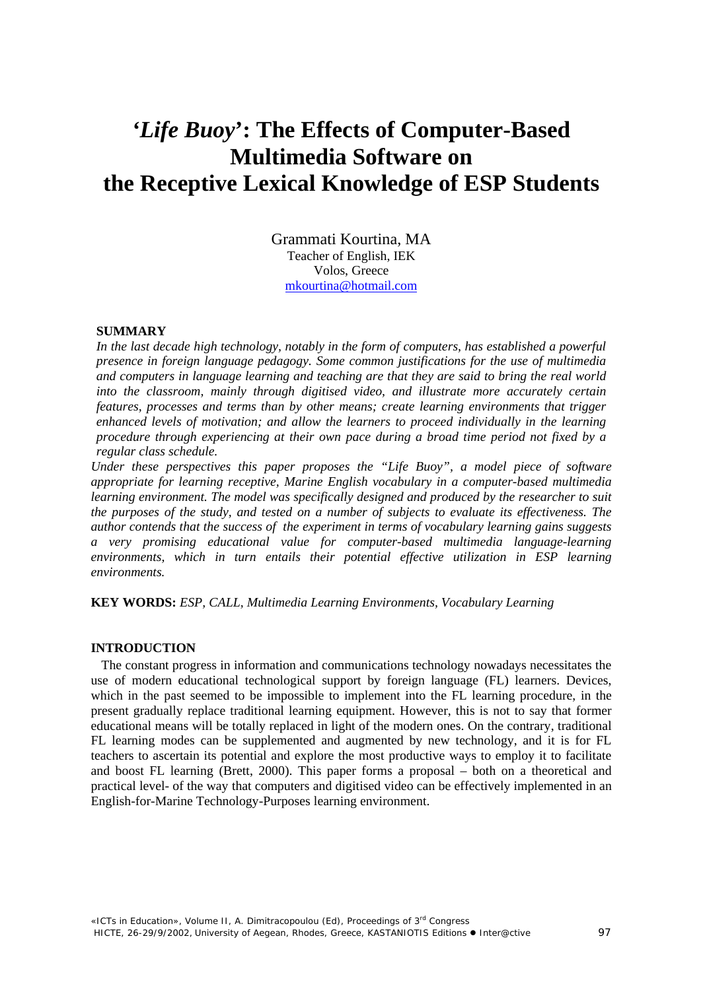# *'Life Buoy***': The Effects of Computer-Based Multimedia Software on the Receptive Lexical Knowledge of ESP Students**

Grammati Kourtina, MA Teacher of English, IEK Volos, Greece [mkourtina@hotmail.com](mailto:mkourtina@hotmail.com)

#### **SUMMARY**

In the last decade high technology, notably in the form of computers, has established a powerful *presence in foreign language pedagogy. Some common justifications for the use of multimedia and computers in language learning and teaching are that they are said to bring the real world into the classroom, mainly through digitised video, and illustrate more accurately certain features, processes and terms than by other means; create learning environments that trigger enhanced levels of motivation; and allow the learners to proceed individually in the learning procedure through experiencing at their own pace during a broad time period not fixed by a regular class schedule.* 

*Under these perspectives this paper proposes the "Life Buoy", a model piece of software appropriate for learning receptive, Marine English vocabulary in a computer-based multimedia* learning environment. The model was specifically designed and produced by the researcher to suit *the purposes of the study, and tested on a number of subjects to evaluate its effectiveness. The author contends that the success of the experiment in terms of vocabulary learning gains suggests a very promising educational value for computer-based multimedia language-learning environments, which in turn entails their potential effective utilization in ESP learning environments.* 

**KEY WORDS:** *ESP, CALL, Multimedia Learning Environments, Vocabulary Learning* 

#### **INTRODUCTION**

The constant progress in information and communications technology nowadays necessitates the use of modern educational technological support by foreign language (FL) learners. Devices, which in the past seemed to be impossible to implement into the FL learning procedure, in the present gradually replace traditional learning equipment. However, this is not to say that former educational means will be totally replaced in light of the modern ones. On the contrary, traditional FL learning modes can be supplemented and augmented by new technology, and it is for FL teachers to ascertain its potential and explore the most productive ways to employ it to facilitate and boost FL learning (Brett, 2000). This paper forms a proposal – both on a theoretical and practical level- of the way that computers and digitised video can be effectively implemented in an English-for-Marine Technology-Purposes learning environment.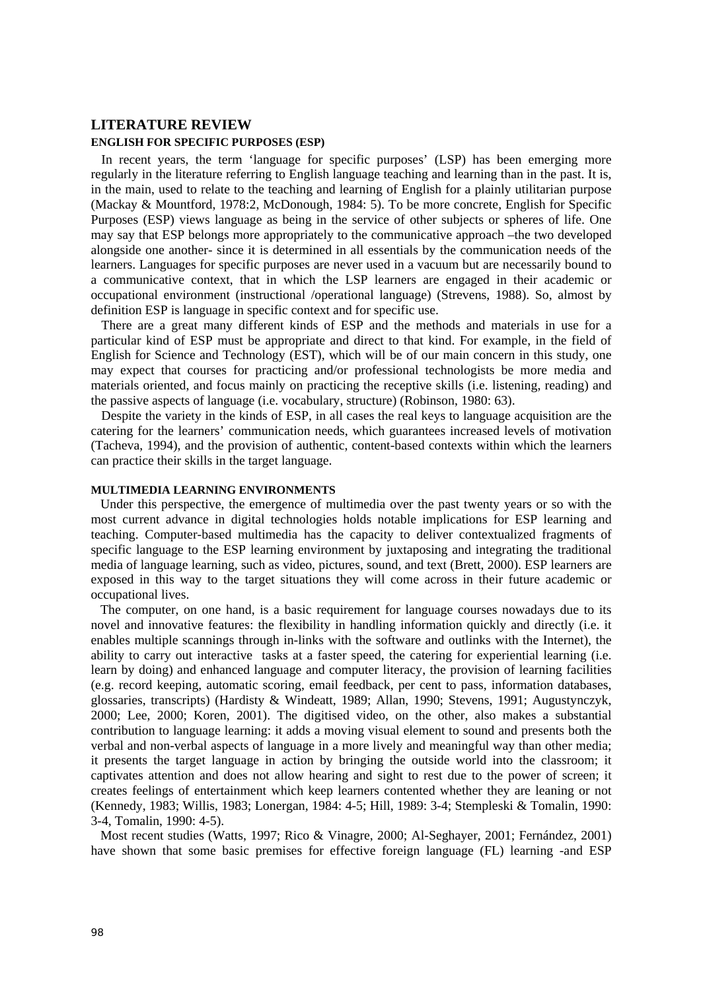#### **LITERATURE REVIEW ENGLISH FOR SPECIFIC PURPOSES (ESP)**

In recent years, the term 'language for specific purposes' (LSP) has been emerging more regularly in the literature referring to English language teaching and learning than in the past. It is, in the main, used to relate to the teaching and learning of English for a plainly utilitarian purpose (Mackay & Mountford, 1978:2, McDonough, 1984: 5). To be more concrete, English for Specific Purposes (ESP) views language as being in the service of other subjects or spheres of life. One may say that ESP belongs more appropriately to the communicative approach –the two developed alongside one another- since it is determined in all essentials by the communication needs of the learners. Languages for specific purposes are never used in a vacuum but are necessarily bound to a communicative context, that in which the LSP learners are engaged in their academic or occupational environment (instructional /operational language) (Strevens, 1988). So, almost by definition ESP is language in specific context and for specific use.

There are a great many different kinds of ESP and the methods and materials in use for a particular kind of ESP must be appropriate and direct to that kind. For example, in the field of English for Science and Technology (EST), which will be of our main concern in this study, one may expect that courses for practicing and/or professional technologists be more media and materials oriented, and focus mainly on practicing the receptive skills (i.e. listening, reading) and the passive aspects of language (i.e. vocabulary, structure) (Robinson, 1980: 63).

Despite the variety in the kinds of ESP, in all cases the real keys to language acquisition are the catering for the learners' communication needs, which guarantees increased levels of motivation (Tacheva, 1994), and the provision of authentic, content-based contexts within which the learners can practice their skills in the target language.

### **MULTIMEDIA LEARNING ENVIRONMENTS**

Under this perspective, the emergence of multimedia over the past twenty years or so with the most current advance in digital technologies holds notable implications for ESP learning and teaching. Computer-based multimedia has the capacity to deliver contextualized fragments of specific language to the ESP learning environment by juxtaposing and integrating the traditional media of language learning, such as video, pictures, sound, and text (Brett, 2000). ESP learners are exposed in this way to the target situations they will come across in their future academic or occupational lives.

The computer, on one hand, is a basic requirement for language courses nowadays due to its novel and innovative features: the flexibility in handling information quickly and directly (i.e. it enables multiple scannings through in-links with the software and outlinks with the Internet), the ability to carry out interactive tasks at a faster speed, the catering for experiential learning (i.e. learn by doing) and enhanced language and computer literacy, the provision of learning facilities (e.g. record keeping, automatic scoring, email feedback, per cent to pass, information databases, glossaries, transcripts) (Hardisty & Windeatt, 1989; Allan, 1990; Stevens, 1991; Augustynczyk, 2000; Lee, 2000; Koren, 2001). The digitised video, on the other, also makes a substantial contribution to language learning: it adds a moving visual element to sound and presents both the verbal and non-verbal aspects of language in a more lively and meaningful way than other media; it presents the target language in action by bringing the outside world into the classroom; it captivates attention and does not allow hearing and sight to rest due to the power of screen; it creates feelings of entertainment which keep learners contented whether they are leaning or not (Kennedy, 1983; Willis, 1983; Lonergan, 1984: 4-5; Hill, 1989: 3-4; Stempleski & Tomalin, 1990: 3-4, Tomalin, 1990: 4-5).

Most recent studies (Watts, 1997; Rico & Vinagre, 2000; Al-Seghayer, 2001; Fernández, 2001) have shown that some basic premises for effective foreign language (FL) learning -and ESP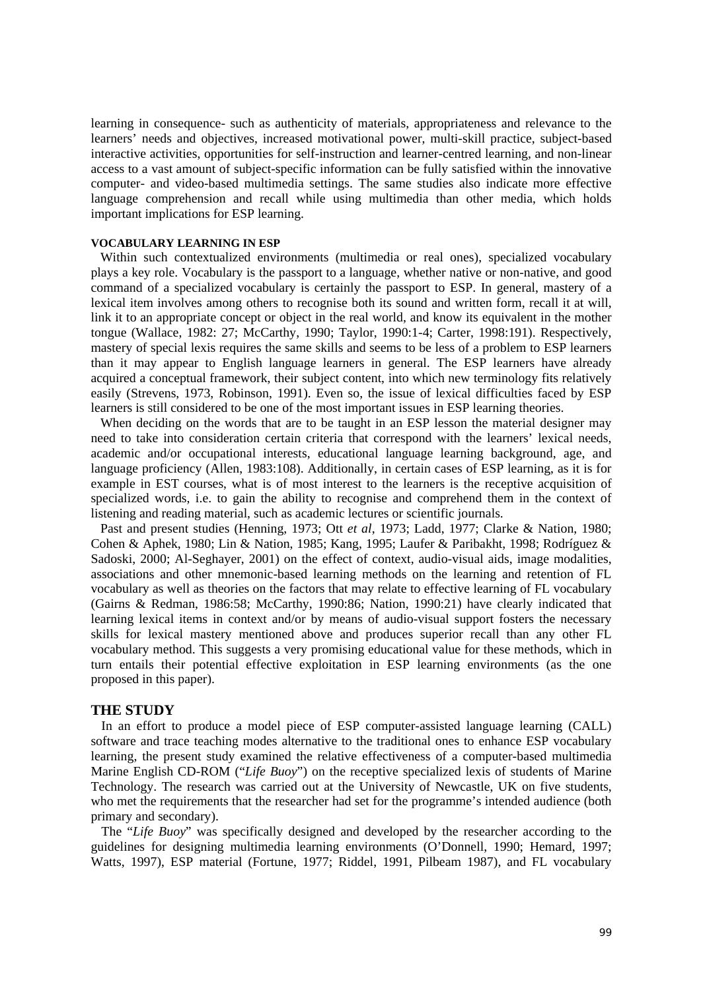learning in consequence- such as authenticity of materials, appropriateness and relevance to the learners' needs and objectives, increased motivational power, multi-skill practice, subject-based interactive activities, opportunities for self-instruction and learner-centred learning, and non-linear access to a vast amount of subject-specific information can be fully satisfied within the innovative computer- and video-based multimedia settings. The same studies also indicate more effective language comprehension and recall while using multimedia than other media, which holds important implications for ESP learning.

#### **VOCABULARY LEARNING IN ESP**

Within such contextualized environments (multimedia or real ones), specialized vocabulary plays a key role. Vocabulary is the passport to a language, whether native or non-native, and good command of a specialized vocabulary is certainly the passport to ESP. In general, mastery of a lexical item involves among others to recognise both its sound and written form, recall it at will, link it to an appropriate concept or object in the real world, and know its equivalent in the mother tongue (Wallace, 1982: 27; McCarthy, 1990; Taylor, 1990:1-4; Carter, 1998:191). Respectively, mastery of special lexis requires the same skills and seems to be less of a problem to ESP learners than it may appear to English language learners in general. The ESP learners have already acquired a conceptual framework, their subject content, into which new terminology fits relatively easily (Strevens, 1973, Robinson, 1991). Even so, the issue of lexical difficulties faced by ESP learners is still considered to be one of the most important issues in ESP learning theories.

When deciding on the words that are to be taught in an ESP lesson the material designer may need to take into consideration certain criteria that correspond with the learners' lexical needs, academic and/or occupational interests, educational language learning background, age, and language proficiency (Allen, 1983:108). Additionally, in certain cases of ESP learning, as it is for example in EST courses, what is of most interest to the learners is the receptive acquisition of specialized words, i.e. to gain the ability to recognise and comprehend them in the context of listening and reading material, such as academic lectures or scientific journals.

Past and present studies (Henning, 1973; Ott *et al*, 1973; Ladd, 1977; Clarke & Nation, 1980; Cohen & Aphek, 1980; Lin & Nation, 1985; Kang, 1995; Laufer & Paribakht, 1998; Rodríguez & Sadoski, 2000; Al-Seghayer, 2001) on the effect of context, audio-visual aids, image modalities, associations and other mnemonic-based learning methods on the learning and retention of FL vocabulary as well as theories on the factors that may relate to effective learning of FL vocabulary (Gairns & Redman, 1986:58; McCarthy, 1990:86; Nation, 1990:21) have clearly indicated that learning lexical items in context and/or by means of audio-visual support fosters the necessary skills for lexical mastery mentioned above and produces superior recall than any other FL vocabulary method. This suggests a very promising educational value for these methods, which in turn entails their potential effective exploitation in ESP learning environments (as the one proposed in this paper).

#### **THE STUDY**

In an effort to produce a model piece of ESP computer-assisted language learning (CALL) software and trace teaching modes alternative to the traditional ones to enhance ESP vocabulary learning, the present study examined the relative effectiveness of a computer-based multimedia Marine English CD-ROM ("*Life Buoy*") on the receptive specialized lexis of students of Marine Technology. The research was carried out at the University of Newcastle, UK on five students, who met the requirements that the researcher had set for the programme's intended audience (both primary and secondary).

The "*Life Buoy*" was specifically designed and developed by the researcher according to the guidelines for designing multimedia learning environments (O'Donnell, 1990; Hemard, 1997; Watts, 1997), ESP material (Fortune, 1977; Riddel, 1991, Pilbeam 1987), and FL vocabulary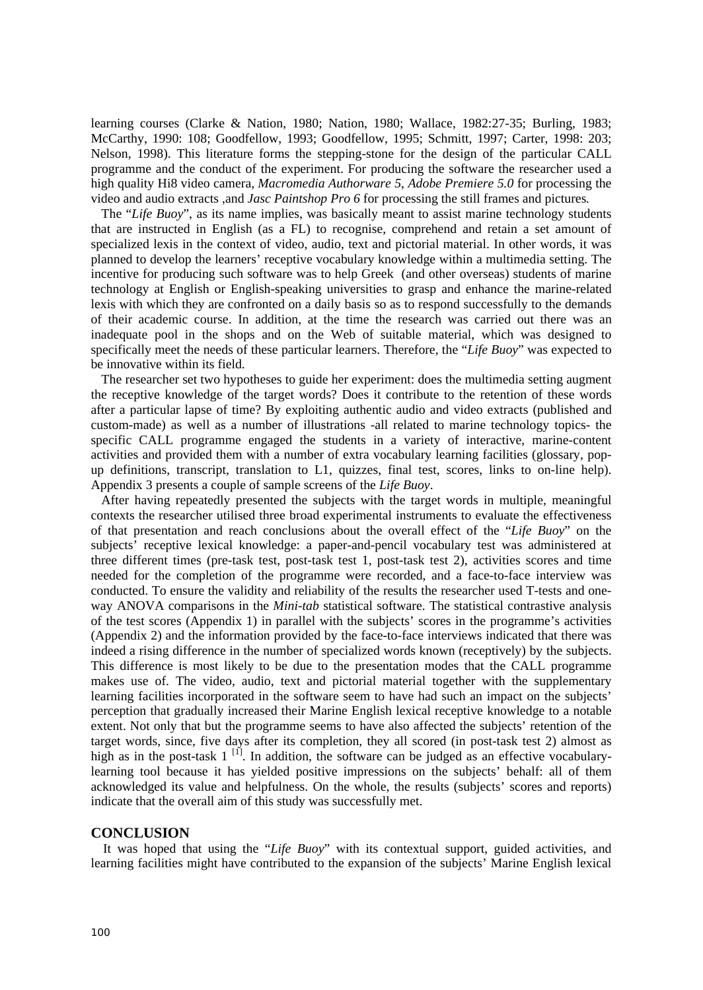learning courses (Clarke & Nation, 1980; Nation, 1980; Wallace, 1982:27-35; Burling, 1983; McCarthy, 1990: 108; Goodfellow, 1993; Goodfellow, 1995; Schmitt, 1997; Carter, 1998: 203; Nelson, 1998). This literature forms the stepping-stone for the design of the particular CALL programme and the conduct of the experiment. For producing the software the researcher used a high quality Hi8 video camera, *Macromedia Authorware 5*, *Adobe Premiere 5.0* for processing the video and audio extracts ,and *Jasc Paintshop Pro 6* for processing the still frames and pictures*.*

The "*Life Buoy*", as its name implies, was basically meant to assist marine technology students that are instructed in English (as a FL) to recognise, comprehend and retain a set amount of specialized lexis in the context of video, audio, text and pictorial material. In other words, it was planned to develop the learners' receptive vocabulary knowledge within a multimedia setting. The incentive for producing such software was to help Greek (and other overseas) students of marine technology at English or English-speaking universities to grasp and enhance the marine-related lexis with which they are confronted on a daily basis so as to respond successfully to the demands of their academic course. In addition, at the time the research was carried out there was an inadequate pool in the shops and on the Web of suitable material, which was designed to specifically meet the needs of these particular learners. Therefore, the "*Life Buoy*" was expected to be innovative within its field.

The researcher set two hypotheses to guide her experiment: does the multimedia setting augment the receptive knowledge of the target words? Does it contribute to the retention of these words after a particular lapse of time? By exploiting authentic audio and video extracts (published and custom-made) as well as a number of illustrations -all related to marine technology topics- the specific CALL programme engaged the students in a variety of interactive, marine-content activities and provided them with a number of extra vocabulary learning facilities (glossary, popup definitions, transcript, translation to L1, quizzes, final test, scores, links to on-line help). Appendix 3 presents a couple of sample screens of the *Life Buoy*.

After having repeatedly presented the subjects with the target words in multiple, meaningful contexts the researcher utilised three broad experimental instruments to evaluate the effectiveness of that presentation and reach conclusions about the overall effect of the "*Life Buoy*" on the subjects' receptive lexical knowledge: a paper-and-pencil vocabulary test was administered at three different times (pre-task test, post-task test 1, post-task test 2), activities scores and time needed for the completion of the programme were recorded, and a face-to-face interview was conducted. To ensure the validity and reliability of the results the researcher used T-tests and oneway ANOVA comparisons in the *Mini-tab* statistical software. The statistical contrastive analysis of the test scores (Appendix 1) in parallel with the subjects' scores in the programme's activities (Appendix 2) and the information provided by the face-to-face interviews indicated that there was indeed a rising difference in the number of specialized words known (receptively) by the subjects. This difference is most likely to be due to the presentation modes that the CALL programme makes use of. The video, audio, text and pictorial material together with the supplementary learning facilities incorporated in the software seem to have had such an impact on the subjects' perception that gradually increased their Marine English lexical receptive knowledge to a notable extent. Not only that but the programme seems to have also affected the subjects' retention of the target words, since, five days after its completion, they all scored (in post-task test 2) almost as high as in the post-task  $1<sup>[1]</sup>$ . In addition, the software can be judged as an effective vocabularylearning tool because it has yielded positive impressions on the subjects' behalf: all of them acknowledged its value and helpfulness. On the whole, the results (subjects' scores and reports) indicate that the overall aim of this study was successfully met.

#### **CONCLUSION**

It was hoped that using the "*Life Buoy*" with its contextual support, guided activities, and learning facilities might have contributed to the expansion of the subjects' Marine English lexical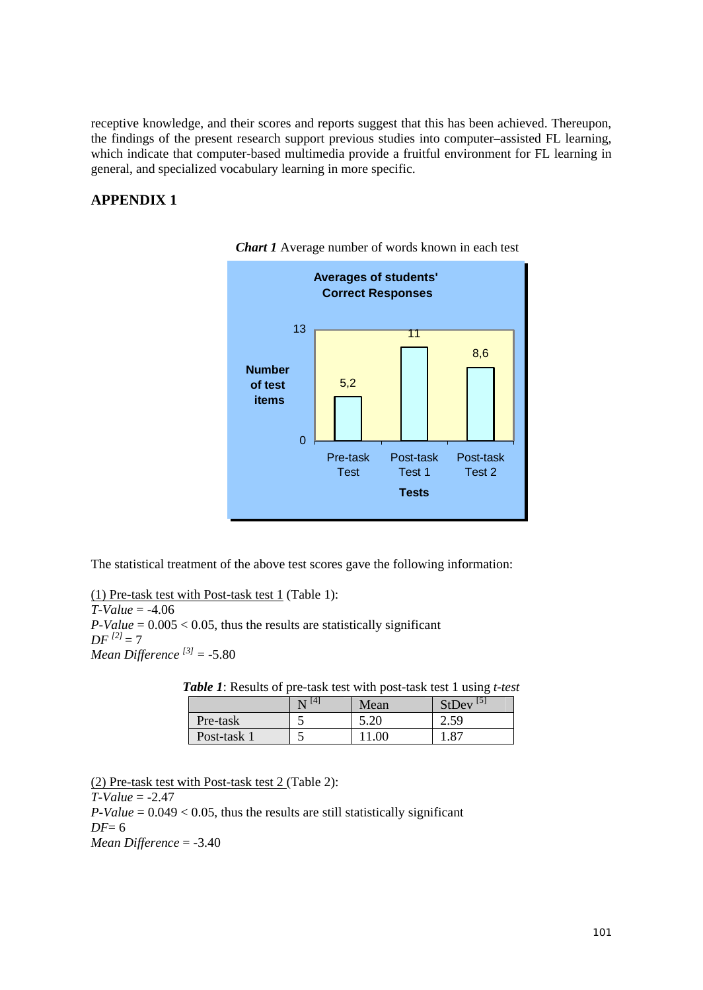receptive knowledge, and their scores and reports suggest that this has been achieved. Thereupon, the findings of the present research support previous studies into computer–assisted FL learning, which indicate that computer-based multimedia provide a fruitful environment for FL learning in general, and specialized vocabulary learning in more specific.

# **APPENDIX 1**



*Chart 1* Average number of words known in each test

The statistical treatment of the above test scores gave the following information:

(1) Pre-task test with Post-task test 1 (Table 1): *T-Value* = -4.06  $P-Value = 0.005 < 0.05$ , thus the results are statistically significant  $DF^{[2]} = 7$ *Mean Difference [3]* = -5.80

| Table 1: Results of pre-task test with post-task test 1 using t-test |  |
|----------------------------------------------------------------------|--|
|----------------------------------------------------------------------|--|

|             | 14.<br>N | Mean | $StDev$ <sup>[5]</sup> |
|-------------|----------|------|------------------------|
| Pre-task    |          | 5.20 | $\angle .5^{\circ}$    |
| Post-task 1 |          |      | O7                     |

(2) Pre-task test with Post-task test 2 (Table 2):

*T-Value* = -2.47

 $P-Value = 0.049 < 0.05$ , thus the results are still statistically significant *DF*= 6 *Mean Difference* = -3.40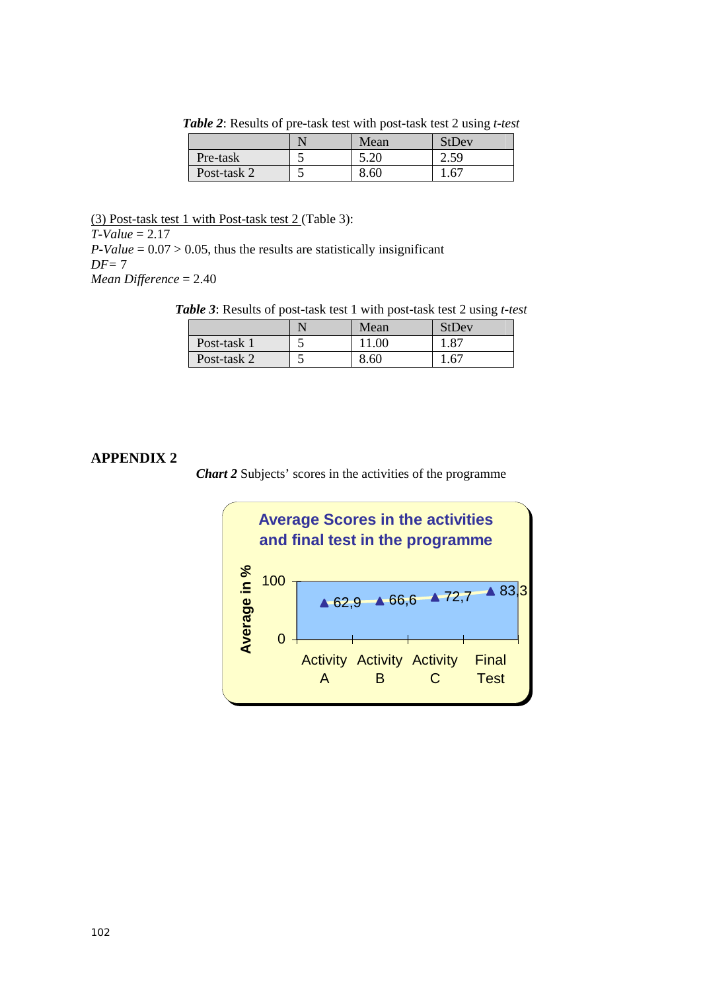|             | Mean | StDev              |
|-------------|------|--------------------|
| Pre-task    | 5.20 | $\angle 5^{\circ}$ |
| Post-task 2 | 8.60 | .6 <sup>7</sup>    |

*Table 2*: Results of pre-task test with post-task test 2 using *t-test*

(3) Post-task test 1 with Post-task test 2 (Table 3): *T-Value* = 2.17  $P-Value = 0.07 > 0.05$ , thus the results are statistically insignificant *DF=* 7 *Mean Difference* = 2.40

*Table 3*: Results of post-task test 1 with post-task test 2 using *t-test*

|             | Mean | StDev        |
|-------------|------|--------------|
| Post-task 1 | .00  | $.8^{\circ}$ |
| Post-task 2 | 8.60 | $.6^{\circ}$ |

## **APPENDIX 2**

*Chart 2* Subjects' scores in the activities of the programme

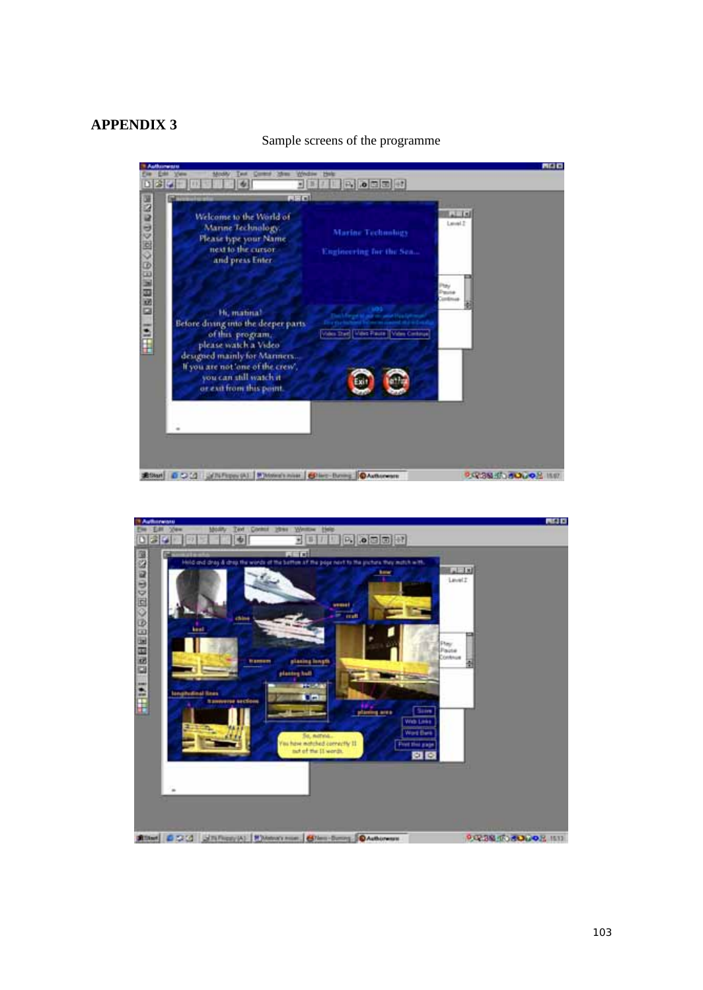# **APPENDIX 3**

#### Sample screens of the programme



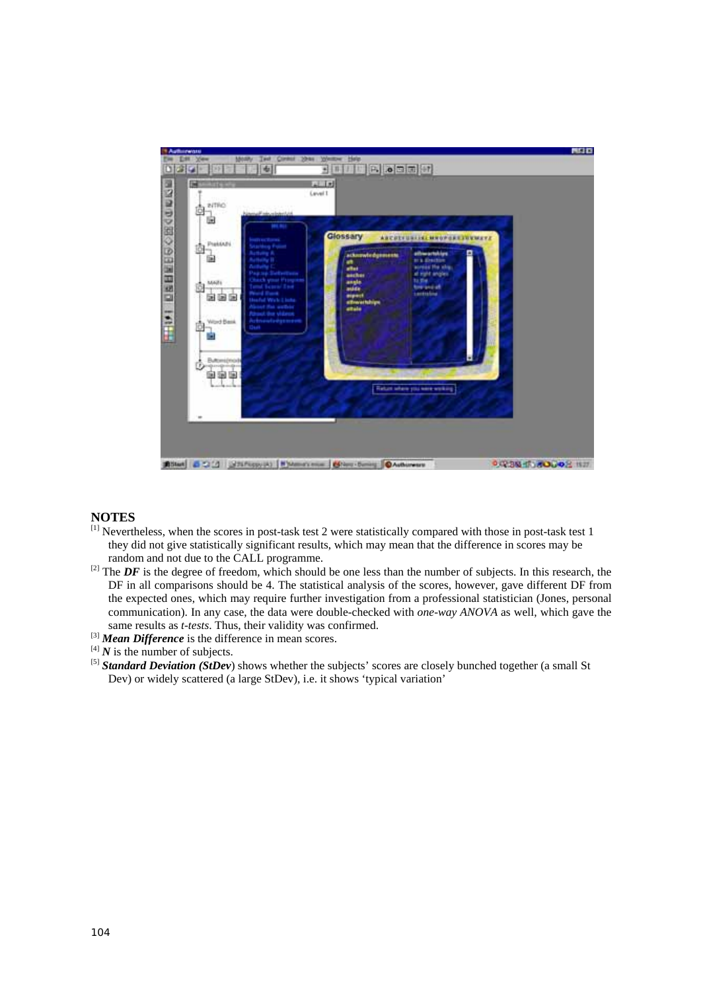

## **NOTES**

- [1] Nevertheless, when the scores in post-task test 2 were statistically compared with those in post-task test 1 they did not give statistically significant results, which may mean that the difference in scores may be random and not due to the CALL programme.
- $^{[2]}$  The *DF* is the degree of freedom, which should be one less than the number of subjects. In this research, the DF in all comparisons should be 4. The statistical analysis of the scores, however, gave different DF from the expected ones, which may require further investigation from a professional statistician (Jones, personal communication). In any case, the data were double-checked with *one-way ANOVA* as well, which gave the same results as *t-tests*. Thus, their validity was confirmed.
- <sup>[3]</sup> *Mean Difference* is the difference in mean scores.  $[4]$  *N* is the number of subjects.
- 
- <sup>[5]</sup> *Standard Deviation (SiDev)* shows whether the subjects' scores are closely bunched together (a small St Dev) or widely scattered (a large StDev), i.e. it shows 'typical variation'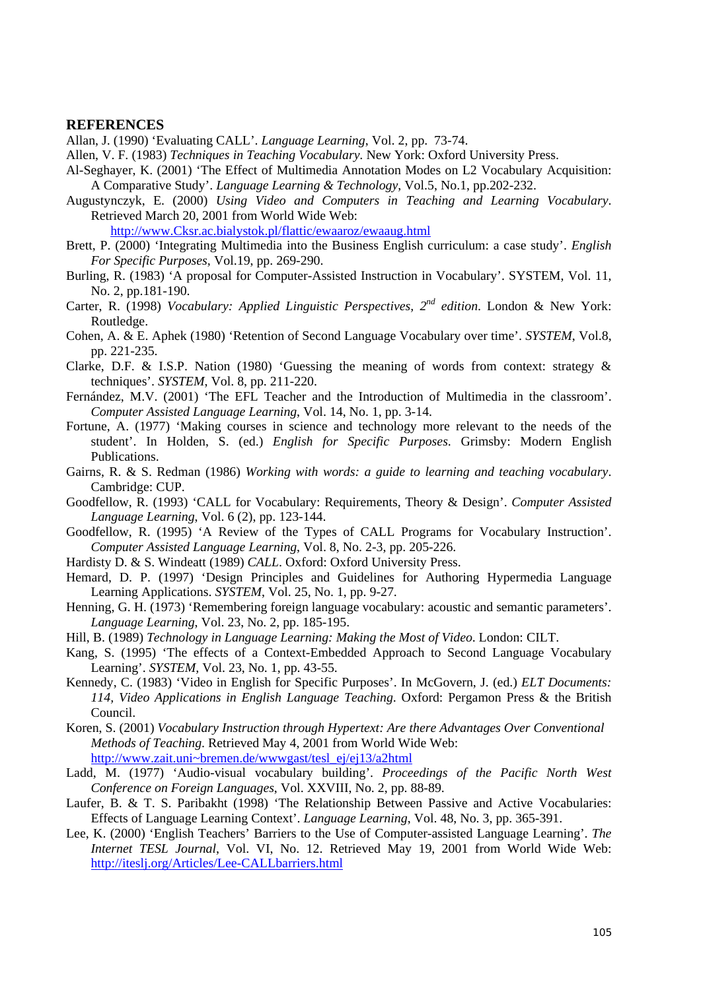#### **REFERENCES**

Allan, J. (1990) 'Evaluating CALL'. *Language Learning*, Vol. 2, pp. 73-74.

- Allen, V. F. (1983) *Techniques in Teaching Vocabulary*. New York: Oxford University Press.
- Al-Seghayer, K. (2001) 'The Effect of Multimedia Annotation Modes on L2 Vocabulary Acquisition: A Comparative Study'. *Language Learning & Technology*, Vol.5, No.1, pp.202-232.
- Augustynczyk, E. (2000) *Using Video and Computers in Teaching and Learning Vocabulary*. Retrieved March 20, 2001 from World Wide Web:

[http://www.Cksr.ac.bialystok.pl/flattic/ewaaroz/ewaaug.html](http://www.cksr.ac.bialystok.pl/flattic/ewaaroz/ewaaug.html)

- Brett, P. (2000) 'Integrating Multimedia into the Business English curriculum: a case study'. *English For Specific Purposes,* Vol.19, pp. 269-290.
- Burling, R. (1983) 'A proposal for Computer-Assisted Instruction in Vocabulary'. SYSTEM, Vol. 11, No. 2, pp.181-190.
- Carter, R. (1998) *Vocabulary: Applied Linguistic Perspectives, 2nd edition*. London & New York: Routledge.
- Cohen, A. & E. Aphek (1980) 'Retention of Second Language Vocabulary over time'. *SYSTEM*, Vol.8, pp. 221-235.
- Clarke, D.F. & I.S.P. Nation (1980) 'Guessing the meaning of words from context: strategy & techniques'. *SYSTEM*, Vol. 8, pp. 211-220.
- Fernández, M.V. (2001) 'The EFL Teacher and the Introduction of Multimedia in the classroom'. *Computer Assisted Language Learning*, Vol. 14, No. 1, pp. 3-14.
- Fortune, A. (1977) 'Making courses in science and technology more relevant to the needs of the student'. In Holden, S. (ed.) *English for Specific Purposes*. Grimsby: Modern English Publications.
- Gairns, R. & S. Redman (1986) *Working with words: a guide to learning and teaching vocabulary*. Cambridge: CUP.
- Goodfellow, R. (1993) 'CALL for Vocabulary: Requirements, Theory & Design'. *Computer Assisted Language Learning*, Vol. 6 (2), pp. 123-144.
- Goodfellow, R. (1995) 'A Review of the Types of CALL Programs for Vocabulary Instruction'. *Computer Assisted Language Learning*, Vol. 8, No. 2-3, pp. 205-226.
- Hardisty D. & S. Windeatt (1989) *CALL*. Oxford: Oxford University Press.
- Hemard, D. P. (1997) 'Design Principles and Guidelines for Authoring Hypermedia Language Learning Applications. *SYSTEM*, Vol. 25, No. 1, pp. 9-27.
- Henning, G. H. (1973) 'Remembering foreign language vocabulary: acoustic and semantic parameters'. *Language Learning*, Vol. 23, No. 2, pp. 185-195.
- Hill, B. (1989) *Technology in Language Learning: Making the Most of Video*. London: CILT.
- Kang, S. (1995) 'The effects of a Context-Embedded Approach to Second Language Vocabulary Learning'. *SYSTEM,* Vol. 23, No. 1, pp. 43-55.
- Kennedy, C. (1983) 'Video in English for Specific Purposes'. In McGovern, J. (ed.) *ELT Documents: 114, Video Applications in English Language Teaching*. Oxford: Pergamon Press & the British Council.
- Koren, S. (2001) *Vocabulary Instruction through Hypertext: Are there Advantages Over Conventional Methods of Teaching*. Retrieved May 4, 2001 from World Wide Web: [http://www.zait.uni~bremen.de/wwwgast/tesl\\_ej/ej13/a2html](http://www.zait.uni~bremen.de/wwwgast/tesl_ej/ej13/a2html)
- Ladd, M. (1977) 'Audio-visual vocabulary building'. *Proceedings of the Pacific North West Conference on Foreign Languages*, Vol. XXVIII, No. 2, pp. 88-89.
- Laufer, B. & T. S. Paribakht (1998) 'The Relationship Between Passive and Active Vocabularies: Effects of Language Learning Context'. *Language Learning*, Vol. 48, No. 3, pp. 365-391.
- Lee, K. (2000) 'English Teachers' Barriers to the Use of Computer-assisted Language Learning'. *The Internet TESL Journal*, Vol. VI, No. 12. Retrieved May 19, 2001 from World Wide Web: <http://iteslj.org/Articles/Lee-CALLbarriers.html>